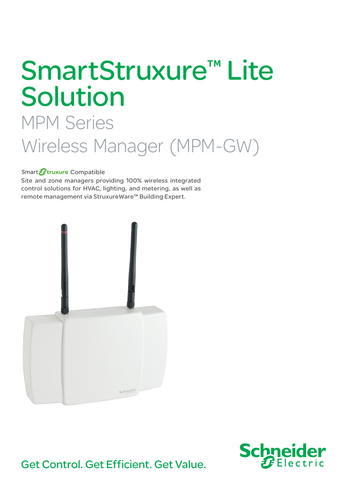# SmartStruxure<sup>™</sup> Lite Solution

## MPM Series Wireless Manager (MPM-GW)

#### Smart Ftruxure Compatible

Site and zone managers providing 100% wireless integrated control solutions for HVAC, lighting, and metering, as well as remote management via StruxureWare™ Building Expert.





Get Control. Get Efficient. Get Value.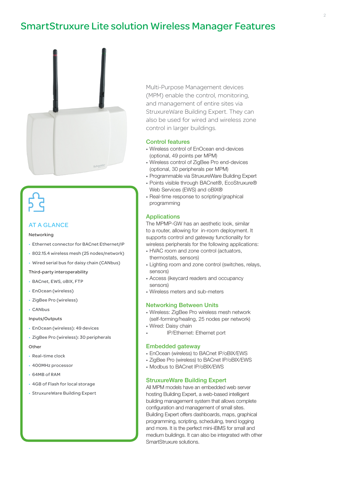## SmartStruxure Lite solution Wireless Manager Features



#### AT A GLANCE

#### Networking

- Ethernet connector for BACnet Ethernet/IP
- 802.15.4 wireless mesh (25 nodes/network)
- Wired serial bus for daisy chain (CANbus)

#### Third-party interoperability

- BACnet, EWS, oBIX, FTP
- EnOcean (wireless)
- ZigBee Pro (wireless)
- CANbus

#### Inputs/Outputs

- EnOcean (wireless): 49 devices
- ZigBee Pro (wireless): 30 peripherals
- **Other**
- Real-time clock
- 400MHz processor
- 64MB of RAM
- 4GB of Flash for local storage
- StruxureWare Building Expert

Multi-Purpose Management devices (MPM) enable the control, monitoring, and management of entire sites via StruxureWare Building Expert. They can also be used for wired and wireless zone control in larger buildings.

#### Control features

- Wireless control of EnOcean end-devices (optional, 49 points per MPM)
- Wireless control of ZigBee Pro end-devices (optional, 30 peripherals per MPM)
- Programmable via StruxureWare Building Expert
- Points visible through BACnet®, EcoStruxure® Web Services (EWS) and oBIX®
- Real-time response to scripting/graphical programming

#### **Applications**

The MPMP-GW has an aesthetic look, similar to a router, allowing for in-room deployment. It supports control and gateway functionality for wireless peripherals for the following applications:

- HVAC room and zone control (actuators, thermostats, sensors)
- Lighting room and zone control (switches, relays, sensors)
- Access (ikeycard readers and occupancy sensors)
- Wireless meters and sub-meters

#### Networking Between Units

- Wireless: ZigBee Pro wireless mesh network (self-forming/healing, 25 nodes per network)
- Wired: Daisy chain
- IP/Ethernet: Ethernet port

#### Embedded gateway

- EnOcean (wireless) to BACnet IP/oBIX/EWS
- ZigBee Pro (wireless) to BACnet IP/oBIX/EWS
- Modbus to BACnet IP/oBIX/EWS

#### StruxureWare Building Expert

All MPM models have an embedded web server hosting Building Expert, a web-based intelligent building management system that allows complete configuration and management of small sites. Building Expert offers dashboards, maps, graphical programming, scripting, scheduling, trend logging and more. It is the perfect mini-iBMS for small and medium buildings. It can also be integrated with other SmartStruxure solutions.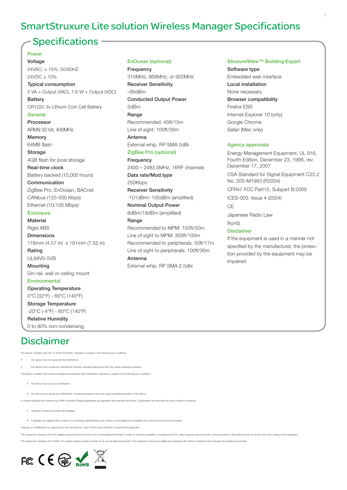## SmartStruxure Lite solution Wireless Manager Specifications

### Specifications ·

Power

Voltage 24VAC; ± 15%; 50/60HZ 24VDC ± 10% Typical consumption 5 VA + Output (VAC), 1.6 W + Output (VDC) **Battery** CR1220 3v Lithium Coin Cell Battery **General** Processor ARM9 32-bit, 400MHz Memory 64MB flash Storage 4GB flash for local storage Real-time clock Battery backed (10,000 hours) Communication ZigBee Pro, EnOcean, BACnet CANbus (125-500 Kbps) Ethernet (10/100 Mbps) **Enclosure Material** Rigid ABS Dimensions 116mm (4.57 in) x 191mm (7.52 in) Rating

UL94V0-5VB Mounting Din-rail, wall or ceiling mount **Environmental** 

Operating Temperature 0°C (32°F) - 60°C (140°F) Storage Temperature

-20°C (-4°F) - 60°C (140°F)

Relative Humidity 0 to 90% non-condensing

## Disclaimer

with Part 15 of the FCC Rules. Operation is subject to the following two co

• this device may not cause harmful interference

• this device must accept any interference received, including interference that may cause undesired operation.

This device complies with Industry Canada licence-exempt RSS standard(s). Operation is subject to the following two c

- this device may not cause interference
- this device must accept any interference, including interference that may cause undesired operation of the device.

Le présent appareil est conforme aux CNR d'Industrie Canada applicables aux appareils radio exempts de licence. L'exploitation est autorisée aux deux condit

• l'appareil ne doit pas produire de brouillage

• l'utilisateur de l'appareil doit accepter tout brouillage radioélectrique subi, même si le brouillage est susceptible d'en compromettre le fonctionnement.

Changes or modifications not approved by the manufacturer could void the user's authority to operate the equipment.

This equipment complies with FCC radiation exposure limits set forth for an uncontrolled environment. In order to avoid the possibility of exceeding the FCC radio frequency exposure limits, human proximity to the antenna s

This equipment complies with IC RSS-102 radiation exposure limits set forth for an uncontrolled environment. This equipment should be installed and operated with minimum distance 20cm between the radiator & your body.



#### EnOcean (optional)

**Frequency** 315MHz, 868MHz, or 902MHz Receiver Sensitivity –95dBm Conducted Output Power 5dBm Range Recommended: 45ft/15m Line of sight: 100ft/30m Antenna External whip, RP SMA 0dBi ZigBee Pro (optional) Frequency 2400 – 2483.5MHz, 16RF channels Data rate/Mod.type 250Kbps Receiver Sensitivity -101dBm/-105dBm (amplified) Nominal Output Power 8dBm/18dBm (amplified) Range Recommended to MPM: 150ft/50m Line of sight to MPM: 300ft/100m Recommended to peripherals: 50ft/17m Line of sight to peripherals: 100ft/30m Antenna External whip, RP SMA 2.5dbi

#### StruxureWare™ Building Expert

Software type Embedded web interface Local installation None necessary Browser compatibility Firefox ESR Internet Explorer 10 (only) Google Chrome Safari (Mac only)

#### Agency approvals

Energy Management Equipment, UL 916, Fourth Edition, December 23, 1998, rev. December 17, 2007

CSA Standard for Signal Equipment C22.2 No. 205-M1983 (R2004)

CFR47 FCC Part15, Subpart B:2009

ICES-003: Issue 4 (2004)

CE

Japanese Radio Law

RoHS

#### Disclaimer

If the equipment is used in a manner not specified by the manufacturer, the protection provided by the equipment may be impaired.